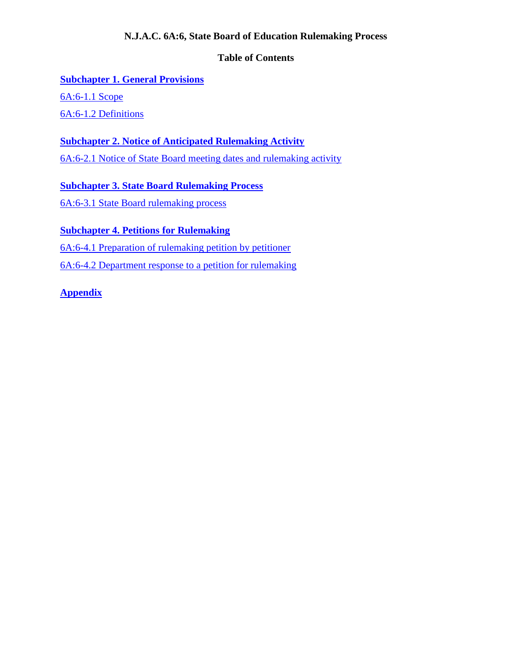## **N.J.A.C. 6A:6, State Board of Education Rulemaking Process**

## **Table of Contents**

# **[Subchapter 1. General Provisions](#page-1-0)**

[6A:6-1.1 Scope](#page-1-1)

[6A:6-1.2 Definitions](#page-1-2)

## **[Subchapter 2. Notice of Anticipated Rulemaking Activity](#page-3-0)**

[6A:6-2.1 Notice of State Board meeting dates and rulemaking activity](#page-3-1)

**[Subchapter 3. State Board Rulemaking Process](#page-4-0)**

[6A:6-3.1 State Board rulemaking process](#page-4-1)

## **[Subchapter 4. Petitions for Rulemaking](#page-7-0)**

[6A:6-4.1 Preparation of rulemaking petition by petitioner](#page-7-1)

[6A:6-4.2 Department response to a petition for rulemaking](#page-8-0)

## **[Appendix](#page-10-0)**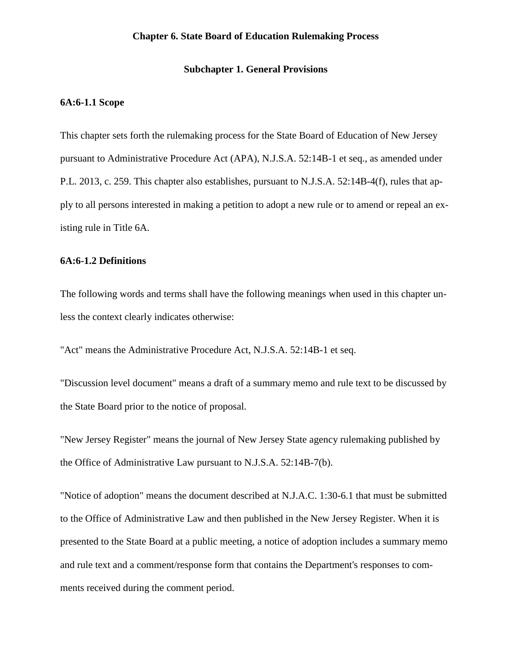## **Chapter 6. State Board of Education Rulemaking Process**

## **Subchapter 1. General Provisions**

#### <span id="page-1-1"></span><span id="page-1-0"></span>**6A:6-1.1 Scope**

This chapter sets forth the rulemaking process for the State Board of Education of New Jersey pursuant to Administrative Procedure Act (APA), N.J.S.A. 52:14B-1 et seq., as amended under P.L. 2013, c. 259. This chapter also establishes, pursuant to N.J.S.A. 52:14B-4(f), rules that apply to all persons interested in making a petition to adopt a new rule or to amend or repeal an existing rule in Title 6A.

#### <span id="page-1-2"></span>**6A:6-1.2 Definitions**

The following words and terms shall have the following meanings when used in this chapter unless the context clearly indicates otherwise:

"Act" means the Administrative Procedure Act, N.J.S.A. 52:14B-1 et seq.

"Discussion level document" means a draft of a summary memo and rule text to be discussed by the State Board prior to the notice of proposal.

"New Jersey Register" means the journal of New Jersey State agency rulemaking published by the Office of Administrative Law pursuant to N.J.S.A. 52:14B-7(b).

"Notice of adoption" means the document described at N.J.A.C. 1:30-6.1 that must be submitted to the Office of Administrative Law and then published in the New Jersey Register. When it is presented to the State Board at a public meeting, a notice of adoption includes a summary memo and rule text and a comment/response form that contains the Department's responses to comments received during the comment period.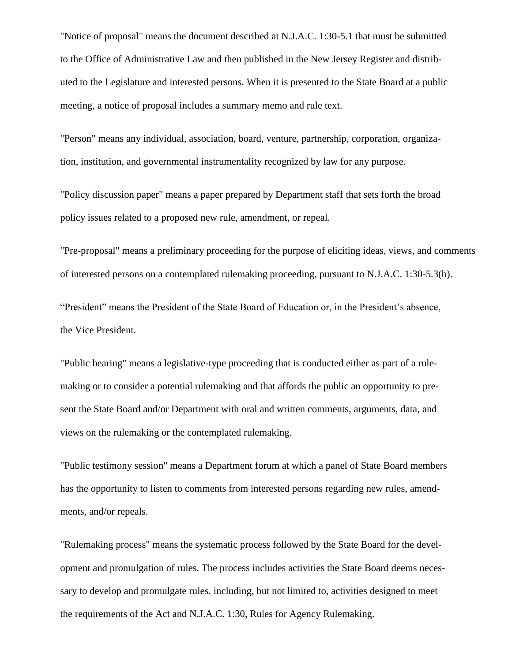"Notice of proposal" means the document described at N.J.A.C. 1:30-5.1 that must be submitted to the Office of Administrative Law and then published in the New Jersey Register and distributed to the Legislature and interested persons. When it is presented to the State Board at a public meeting, a notice of proposal includes a summary memo and rule text.

"Person" means any individual, association, board, venture, partnership, corporation, organization, institution, and governmental instrumentality recognized by law for any purpose.

"Policy discussion paper" means a paper prepared by Department staff that sets forth the broad policy issues related to a proposed new rule, amendment, or repeal.

"Pre-proposal" means a preliminary proceeding for the purpose of eliciting ideas, views, and comments of interested persons on a contemplated rulemaking proceeding, pursuant to N.J.A.C. 1:30-5.3(b).

"President" means the President of the State Board of Education or, in the President's absence, the Vice President.

"Public hearing" means a legislative-type proceeding that is conducted either as part of a rulemaking or to consider a potential rulemaking and that affords the public an opportunity to present the State Board and/or Department with oral and written comments, arguments, data, and views on the rulemaking or the contemplated rulemaking.

"Public testimony session" means a Department forum at which a panel of State Board members has the opportunity to listen to comments from interested persons regarding new rules, amendments, and/or repeals.

"Rulemaking process" means the systematic process followed by the State Board for the development and promulgation of rules. The process includes activities the State Board deems necessary to develop and promulgate rules, including, but not limited to, activities designed to meet the requirements of the Act and N.J.A.C. 1:30, Rules for Agency Rulemaking.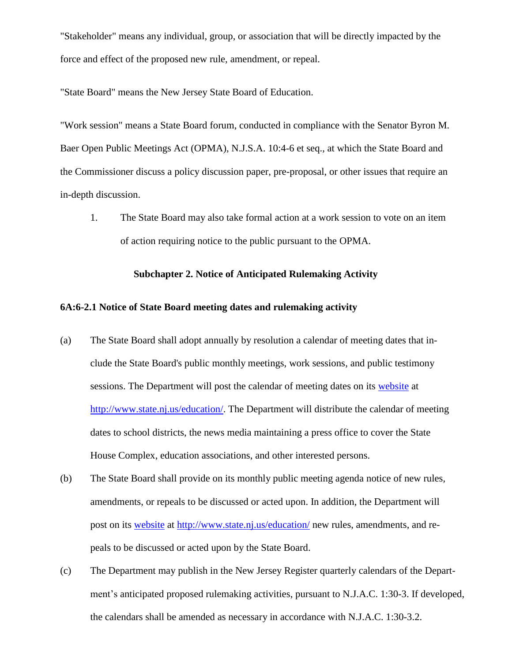"Stakeholder" means any individual, group, or association that will be directly impacted by the force and effect of the proposed new rule, amendment, or repeal.

"State Board" means the New Jersey State Board of Education.

"Work session" means a State Board forum, conducted in compliance with the Senator Byron M. Baer Open Public Meetings Act (OPMA), N.J.S.A. 10:4-6 et seq., at which the State Board and the Commissioner discuss a policy discussion paper, pre-proposal, or other issues that require an in-depth discussion.

1. The State Board may also take formal action at a work session to vote on an item of action requiring notice to the public pursuant to the OPMA.

## **Subchapter 2. Notice of Anticipated Rulemaking Activity**

### <span id="page-3-1"></span><span id="page-3-0"></span>**6A:6-2.1 Notice of State Board meeting dates and rulemaking activity**

- (a) The State Board shall adopt annually by resolution a calendar of meeting dates that include the State Board's public monthly meetings, work sessions, and public testimony sessions. The Department will post the calendar of meeting dates on its [website](http://www.state.nj.us/education/) at [http://www.state.nj.us/education/.](about:blank) The Department will distribute the calendar of meeting dates to school districts, the news media maintaining a press office to cover the State House Complex, education associations, and other interested persons.
- (b) The State Board shall provide on its monthly public meeting agenda notice of new rules, amendments, or repeals to be discussed or acted upon. In addition, the Department will post on its [website](http://www.state.nj.us/education/) at [http://www.state.nj.us/education/](about:blank) new rules, amendments, and repeals to be discussed or acted upon by the State Board.
- (c) The Department may publish in the New Jersey Register quarterly calendars of the Department's anticipated proposed rulemaking activities, pursuant to N.J.A.C. 1:30-3. If developed, the calendars shall be amended as necessary in accordance with N.J.A.C. 1:30-3.2.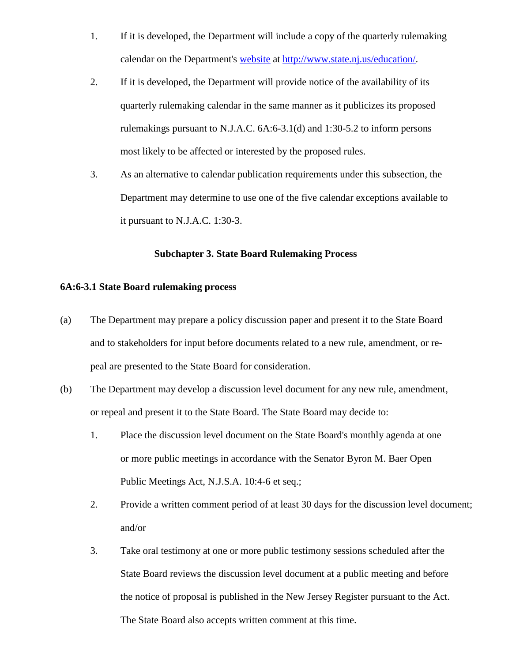- 1. If it is developed, the Department will include a copy of the quarterly rulemaking calendar on the Department's [website](http://www.state.nj.us/education/) at [http://www.state.nj.us/education/.](about:blank)
- 2. If it is developed, the Department will provide notice of the availability of its quarterly rulemaking calendar in the same manner as it publicizes its proposed rulemakings pursuant to N.J.A.C. 6A:6-3.1(d) and 1:30-5.2 to inform persons most likely to be affected or interested by the proposed rules.
- 3. As an alternative to calendar publication requirements under this subsection, the Department may determine to use one of the five calendar exceptions available to it pursuant to N.J.A.C. 1:30-3.

## **Subchapter 3. State Board Rulemaking Process**

### <span id="page-4-1"></span><span id="page-4-0"></span>**6A:6-3.1 State Board rulemaking process**

- (a) The Department may prepare a policy discussion paper and present it to the State Board and to stakeholders for input before documents related to a new rule, amendment, or repeal are presented to the State Board for consideration.
- (b) The Department may develop a discussion level document for any new rule, amendment, or repeal and present it to the State Board. The State Board may decide to:
	- 1. Place the discussion level document on the State Board's monthly agenda at one or more public meetings in accordance with the Senator Byron M. Baer Open Public Meetings Act, N.J.S.A. 10:4-6 et seq.;
	- 2. Provide a written comment period of at least 30 days for the discussion level document; and/or
	- 3. Take oral testimony at one or more public testimony sessions scheduled after the State Board reviews the discussion level document at a public meeting and before the notice of proposal is published in the New Jersey Register pursuant to the Act. The State Board also accepts written comment at this time.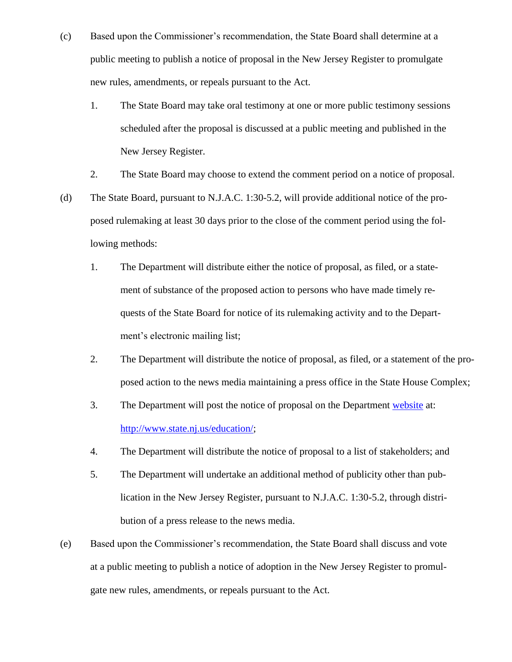- (c) Based upon the Commissioner's recommendation, the State Board shall determine at a public meeting to publish a notice of proposal in the New Jersey Register to promulgate new rules, amendments, or repeals pursuant to the Act.
	- 1. The State Board may take oral testimony at one or more public testimony sessions scheduled after the proposal is discussed at a public meeting and published in the New Jersey Register.
	- 2. The State Board may choose to extend the comment period on a notice of proposal.
- (d) The State Board, pursuant to N.J.A.C. 1:30-5.2, will provide additional notice of the proposed rulemaking at least 30 days prior to the close of the comment period using the following methods:
	- 1. The Department will distribute either the notice of proposal, as filed, or a statement of substance of the proposed action to persons who have made timely requests of the State Board for notice of its rulemaking activity and to the Department's electronic mailing list;
	- 2. The Department will distribute the notice of proposal, as filed, or a statement of the proposed action to the news media maintaining a press office in the State House Complex;
	- 3. The Department will post the notice of proposal on the Department [website](http://www.state.nj.us/education/) at: [http://www.state.nj.us/education/;](about:blank)
	- 4. The Department will distribute the notice of proposal to a list of stakeholders; and
	- 5. The Department will undertake an additional method of publicity other than publication in the New Jersey Register, pursuant to N.J.A.C. 1:30-5.2, through distribution of a press release to the news media.
- (e) Based upon the Commissioner's recommendation, the State Board shall discuss and vote at a public meeting to publish a notice of adoption in the New Jersey Register to promulgate new rules, amendments, or repeals pursuant to the Act.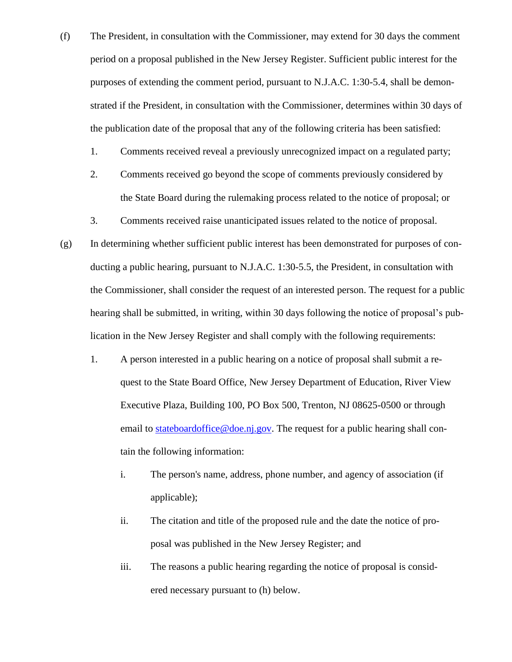- (f) The President, in consultation with the Commissioner, may extend for 30 days the comment period on a proposal published in the New Jersey Register. Sufficient public interest for the purposes of extending the comment period, pursuant to N.J.A.C. 1:30-5.4, shall be demonstrated if the President, in consultation with the Commissioner, determines within 30 days of the publication date of the proposal that any of the following criteria has been satisfied:
	- 1. Comments received reveal a previously unrecognized impact on a regulated party;
	- 2. Comments received go beyond the scope of comments previously considered by the State Board during the rulemaking process related to the notice of proposal; or
	- 3. Comments received raise unanticipated issues related to the notice of proposal.
- (g) In determining whether sufficient public interest has been demonstrated for purposes of conducting a public hearing, pursuant to N.J.A.C. 1:30-5.5, the President, in consultation with the Commissioner, shall consider the request of an interested person. The request for a public hearing shall be submitted, in writing, within 30 days following the notice of proposal's publication in the New Jersey Register and shall comply with the following requirements:
	- 1. A person interested in a public hearing on a notice of proposal shall submit a request to the State Board Office, New Jersey Department of Education, River View Executive Plaza, Building 100, PO Box 500, Trenton, NJ 08625-0500 or through email to [stateboardoffice@doe.nj.gov.](mailto:stateboardoffice@doe.nj.gov) The request for a public hearing shall contain the following information:
		- i. The person's name, address, phone number, and agency of association (if applicable);
		- ii. The citation and title of the proposed rule and the date the notice of proposal was published in the New Jersey Register; and
		- iii. The reasons a public hearing regarding the notice of proposal is considered necessary pursuant to (h) below.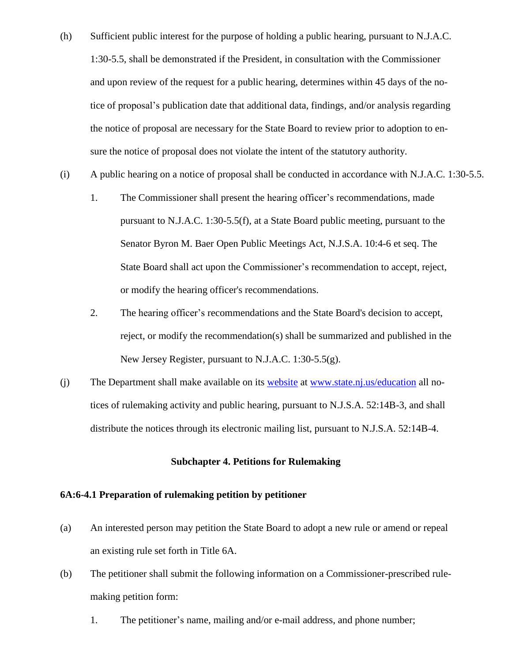- (h) Sufficient public interest for the purpose of holding a public hearing, pursuant to N.J.A.C. 1:30-5.5, shall be demonstrated if the President, in consultation with the Commissioner and upon review of the request for a public hearing, determines within 45 days of the notice of proposal's publication date that additional data, findings, and/or analysis regarding the notice of proposal are necessary for the State Board to review prior to adoption to ensure the notice of proposal does not violate the intent of the statutory authority.
- (i) A public hearing on a notice of proposal shall be conducted in accordance with N.J.A.C. 1:30-5.5.
	- 1. The Commissioner shall present the hearing officer's recommendations, made pursuant to N.J.A.C. 1:30-5.5(f), at a State Board public meeting, pursuant to the Senator Byron M. Baer Open Public Meetings Act, N.J.S.A. 10:4-6 et seq. The State Board shall act upon the Commissioner's recommendation to accept, reject, or modify the hearing officer's recommendations.
	- 2. The hearing officer's recommendations and the State Board's decision to accept, reject, or modify the recommendation(s) shall be summarized and published in the New Jersey Register, pursuant to N.J.A.C. 1:30-5.5(g).
- (j) The Department shall make available on its [website](http://www.state.nj.us/education/) at [www.state.nj.us/education](about:blank) all notices of rulemaking activity and public hearing, pursuant to N.J.S.A. 52:14B-3, and shall distribute the notices through its electronic mailing list, pursuant to N.J.S.A. 52:14B-4.

## **Subchapter 4. Petitions for Rulemaking**

## <span id="page-7-1"></span><span id="page-7-0"></span>**6A:6-4.1 Preparation of rulemaking petition by petitioner**

- (a) An interested person may petition the State Board to adopt a new rule or amend or repeal an existing rule set forth in Title 6A.
- (b) The petitioner shall submit the following information on a Commissioner-prescribed rulemaking petition form:
	- 1. The petitioner's name, mailing and/or e-mail address, and phone number;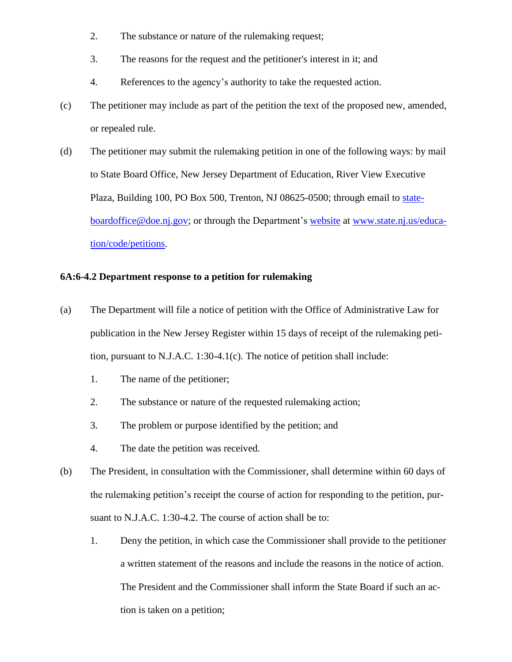- 2. The substance or nature of the rulemaking request;
- 3. The reasons for the request and the petitioner's interest in it; and
- 4. References to the agency's authority to take the requested action.
- (c) The petitioner may include as part of the petition the text of the proposed new, amended, or repealed rule.
- (d) The petitioner may submit the rulemaking petition in one of the following ways: by mail to State Board Office, New Jersey Department of Education, River View Executive Plaza, Building 100, PO Box 500, Trenton, NJ 08625-0500; through email to [state](mailto:stateboardoffice@doe.nj.gov)[boardoffice@doe.nj.gov;](mailto:stateboardoffice@doe.nj.gov) or through the Department's [website](http://www.state.nj.us/education/code/petitions) at [www.state.nj.us/educa](about:blank)[tion/](about:blank)code/petitions.

## <span id="page-8-0"></span>**6A:6-4.2 Department response to a petition for rulemaking**

- (a) The Department will file a notice of petition with the Office of Administrative Law for publication in the New Jersey Register within 15 days of receipt of the rulemaking petition, pursuant to N.J.A.C. 1:30-4.1(c). The notice of petition shall include:
	- 1. The name of the petitioner;
	- 2. The substance or nature of the requested rulemaking action;
	- 3. The problem or purpose identified by the petition; and
	- 4. The date the petition was received.
- (b) The President, in consultation with the Commissioner, shall determine within 60 days of the rulemaking petition's receipt the course of action for responding to the petition, pursuant to N.J.A.C. 1:30-4.2. The course of action shall be to:
	- 1. Deny the petition, in which case the Commissioner shall provide to the petitioner a written statement of the reasons and include the reasons in the notice of action. The President and the Commissioner shall inform the State Board if such an action is taken on a petition;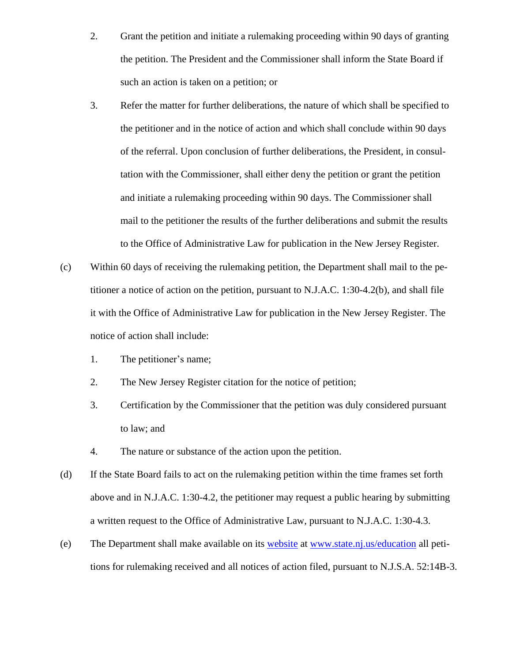- 2. Grant the petition and initiate a rulemaking proceeding within 90 days of granting the petition. The President and the Commissioner shall inform the State Board if such an action is taken on a petition; or
- 3. Refer the matter for further deliberations, the nature of which shall be specified to the petitioner and in the notice of action and which shall conclude within 90 days of the referral. Upon conclusion of further deliberations, the President, in consultation with the Commissioner, shall either deny the petition or grant the petition and initiate a rulemaking proceeding within 90 days. The Commissioner shall mail to the petitioner the results of the further deliberations and submit the results to the Office of Administrative Law for publication in the New Jersey Register.
- (c) Within 60 days of receiving the rulemaking petition, the Department shall mail to the petitioner a notice of action on the petition, pursuant to N.J.A.C. 1:30-4.2(b), and shall file it with the Office of Administrative Law for publication in the New Jersey Register. The notice of action shall include:
	- 1. The petitioner's name;
	- 2. The New Jersey Register citation for the notice of petition;
	- 3. Certification by the Commissioner that the petition was duly considered pursuant to law; and
	- 4. The nature or substance of the action upon the petition.
- (d) If the State Board fails to act on the rulemaking petition within the time frames set forth above and in N.J.A.C. 1:30-4.2, the petitioner may request a public hearing by submitting a written request to the Office of Administrative Law, pursuant to N.J.A.C. 1:30-4.3.
- (e) The Department shall make available on its [website](http://www.state.nj.us/education) at [www.state.nj.us/education](about:blank) all petitions for rulemaking received and all notices of action filed, pursuant to N.J.S.A. 52:14B-3.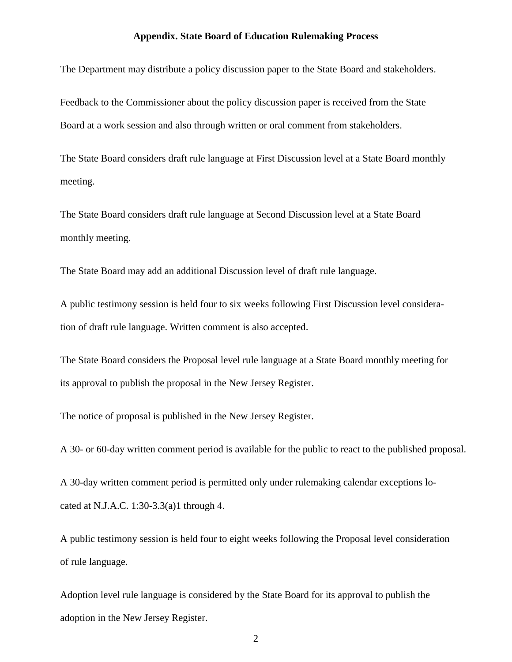## **Appendix. State Board of Education Rulemaking Process**

<span id="page-10-0"></span>The Department may distribute a policy discussion paper to the State Board and stakeholders.

Feedback to the Commissioner about the policy discussion paper is received from the State Board at a work session and also through written or oral comment from stakeholders.

The State Board considers draft rule language at First Discussion level at a State Board monthly meeting.

The State Board considers draft rule language at Second Discussion level at a State Board monthly meeting.

The State Board may add an additional Discussion level of draft rule language.

A public testimony session is held four to six weeks following First Discussion level consideration of draft rule language. Written comment is also accepted.

The State Board considers the Proposal level rule language at a State Board monthly meeting for its approval to publish the proposal in the New Jersey Register.

The notice of proposal is published in the New Jersey Register.

A 30- or 60-day written comment period is available for the public to react to the published proposal.

A 30-day written comment period is permitted only under rulemaking calendar exceptions located at N.J.A.C. 1:30-3.3(a)1 through 4.

A public testimony session is held four to eight weeks following the Proposal level consideration of rule language.

Adoption level rule language is considered by the State Board for its approval to publish the adoption in the New Jersey Register.

2